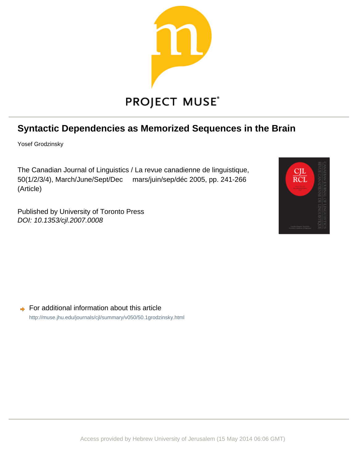

# **Syntactic Dependencies as Memorized Sequences in the Brain**

Yosef Grodzinsky

The Canadian Journal of Linguistics / La revue canadienne de linguistique, 50(1/2/3/4), March/June/Sept/Dec mars/juin/sep/déc 2005, pp. 241-266 (Article)

Published by University of Toronto Press DOI: 10.1353/cjl.2007.0008



 $\rightarrow$  For additional information about this article <http://muse.jhu.edu/journals/cjl/summary/v050/50.1grodzinsky.html>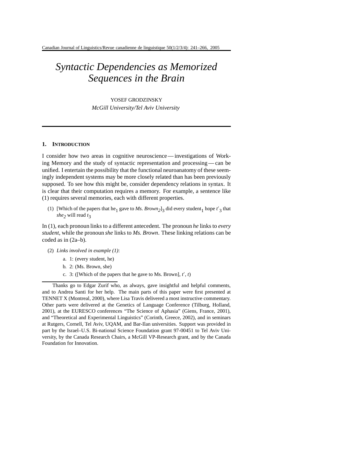# *Syntactic Dependencies as Memorized Sequences in the Brain*

YOSEF GRODZINSKY *McGill University/Tel Aviv University*

## **1. INTRODUCTION**

I consider how two areas in cognitive neuroscience — investigations of Working Memory and the study of syntactic representation and processing — can be unified. I entertain the possibility that the functional neuroanatomy of these seemingly independent systems may be more closely related than has been previously supposed. To see how this might be, consider dependency relations in syntax. It is clear that their computation requires a memory. For example, a sentence like (1) requires several memories, each with different properties.

(1) [Which of the papers that he<sub>1</sub> gave to *Ms. Brown*<sub>2</sub>]<sub>3</sub> did every student<sub>1</sub> hope  $t'_{3}$  that *she*<sub>2</sub> will read  $t_3$ 

In (1), each pronoun links to a different antecedent. The pronoun *he* links to *every student*, while the pronoun *she* links to *Ms. Brown*. These linking relations can be coded as in (2a–b).

- (2) *Links involved in example (1)*:
	- a. 1: (every student, he)
	- b. 2: (Ms. Brown, she)
	- c. 3: ([Which of the papers that he gave to Ms. Brown],  $t', t$ )

Thanks go to Edgar Zurif who, as always, gave insightful and helpful comments, and to Andrea Santi for her help. The main parts of this paper were first presented at TENNET X (Montreal, 2000), where Lisa Travis delivered a most instructive commentary. Other parts were delivered at the Genetics of Language Conference (Tilburg, Holland, 2001), at the EURESCO conferences "The Science of Aphasia" (Giens, France, 2001), and "Theoretical and Experimental Linguistics" (Corinth, Greece, 2002), and in seminars at Rutgers, Cornell, Tel Aviv, UQAM, and Bar-Ilan universities. Support was provided in part by the Israel–U.S. Bi-national Science Foundation grant 97-00451 to Tel Aviv University, by the Canada Research Chairs, a McGill VP-Research grant, and by the Canada Foundation for Innovation.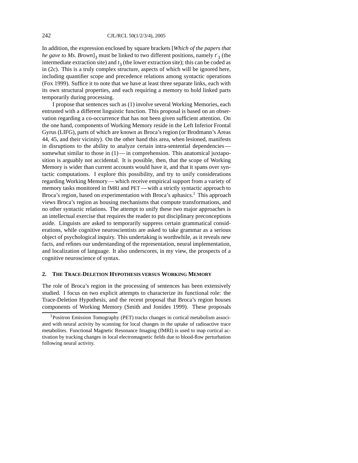In addition, the expression enclosed by square brackets [*Which of the papers that he gave to Ms. Brown*]<sub>3</sub> must be linked to two different positions, namely  $t'_{3}$  (the intermediate extraction site) and *t* 3 (the lower extraction site); this can be coded as in (2c). This is a truly complex structure, aspects of which will be ignored here, including quantifier scope and precedence relations among syntactic operations (Fox 1999). Suffice it to note that we have at least three separate links, each with its own structural properties, and each requiring a memory to hold linked parts temporarily during processing.

I propose that sentences such as (1) involve several Working Memories, each entrusted with a different linguistic function. This proposal is based on an observation regarding a co-occurrence that has not been given sufficient attention. On the one hand, components of Working Memory reside in the Left Inferior Frontal Gyrus (LIFG), parts of which are known as Broca's region (or Brodmann's Areas 44, 45, and their vicinity). On the other hand this area, when lesioned, manifests in disruptions to the ability to analyze certain intra-sentential dependencies somewhat similar to those in  $(1)$ — in comprehension. This anatomical juxtaposition is arguably not accidental. It is possible, then, that the scope of Working Memory is wider than current accounts would have it, and that it spans over syntactic computations. I explore this possibility, and try to unify considerations regarding Working Memory — which receive empirical support from a variety of memory tasks monitored in fMRI and PET— with a strictly syntactic approach to Broca's region, based on experimentation with Broca's aphasics.<sup>1</sup> This approach views Broca's region as housing mechanisms that compute transformations, and no other syntactic relations. The attempt to unify these two major approaches is an intellectual exercise that requires the reader to put disciplinary preconceptions aside. Linguists are asked to temporarily suppress certain grammatical considerations, while cognitive neuroscientists are asked to take grammar as a serious object of psychological inquiry. This undertaking is worthwhile, as it reveals new facts, and refines our understanding of the representation, neural implementation, and localization of language. It also underscores, in my view, the prospects of a cognitive neuroscience of syntax.

# **2. THE TRACE-DELETION HYPOTHESIS VERSUS WORKING MEMORY**

The role of Broca's region in the processing of sentences has been extensively studied. I focus on two explicit attempts to characterize its functional role: the Trace-Deletion Hypothesis, and the recent proposal that Broca's region houses components of Working Memory (Smith and Jonides 1999). These proposals

<sup>&</sup>lt;sup>1</sup>Positron Emission Tomography (PET) tracks changes in cortical metabolism associated with neural activity by scanning for local changes in the uptake of radioactive trace metabolites. Functional Magnetic Resonance Imaging (fMRI) is used to map cortical activation by tracking changes in local electromagnetic fields due to blood-flow perturbation following neural activity.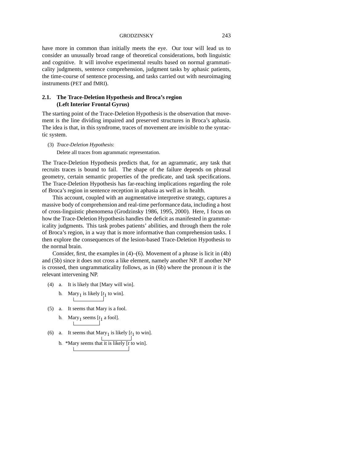have more in common than initially meets the eye. Our tour will lead us to consider an unusually broad range of theoretical considerations, both linguistic and cognitive. It will involve experimental results based on normal grammaticality judgments, sentence comprehension, judgment tasks by aphasic patients, the time-course of sentence processing, and tasks carried out with neuroimaging instruments (PET and fMRI).

# **2.1. The Trace-Deletion Hypothesis and Broca's region (Left Interior Frontal Gyrus)**

The starting point of the Trace-Deletion Hypothesis is the observation that movement is the line dividing impaired and preserved structures in Broca's aphasia. The idea is that, in this syndrome, traces of movement are invisible to the syntactic system.

(3) *Trace-Deletion Hypothesis*:

Delete all traces from agrammatic representation.

The Trace-Deletion Hypothesis predicts that, for an agrammatic, any task that recruits traces is bound to fail. The shape of the failure depends on phrasal geometry, certain semantic properties of the predicate, and task specifications. The Trace-Deletion Hypothesis has far-reaching implications regarding the role of Broca's region in sentence reception in aphasia as well as in health.

This account, coupled with an augmentative interpretive strategy, captures a massive body of comprehension and real-time performance data, including a host of cross-linguistic phenomena (Grodzinsky 1986, 1995, 2000). Here, I focus on how the Trace-Deletion Hypothesis handles the deficit as manifested in grammaticality judgments. This task probes patients' abilities, and through them the role of Broca's region, in a way that is more informative than comprehension tasks. I then explore the consequences of the lesion-based Trace-Deletion Hypothesis to the normal brain.

Consider, first, the examples in (4)–(6). Movement of a phrase is licit in (4b) and (5b) since it does not cross a like element, namely another NP. If another NP is crossed, then ungrammaticality follows, as in (6b) where the pronoun *it* is the relevant intervening NP.

- (4) a. It is likely that [Mary will win].
	- b. Mary<sub>1</sub> is likely  $[t_1$  to win].
- (5) a. It seems that Mary is a fool.
	- b. Mary<sub>1</sub> seems  $[t_1$  a fool].
- (6) a. It seems that Mary<sub>1</sub> is likely  $[t_1]$  to win.
	- b. \*Mary seems that it is likely [*t* to win].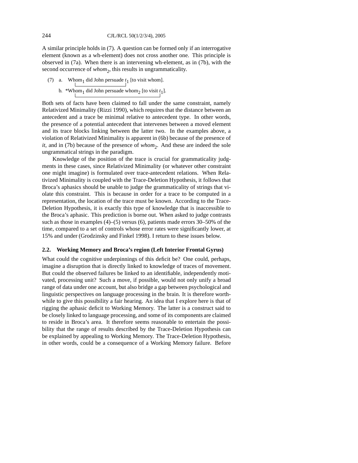A similar principle holds in (7). A question can be formed only if an interrogative element (known as a wh-element) does not cross another one. This principle is observed in (7a). When there is an intervening wh-element, as in (7b), with the second occurrence of *whom*<sub>2</sub>, this results in ungrammaticality.

(7) a. Whom<sub>1</sub> did John persuade 
$$
t_1
$$
 [to visit whom].  
\nb. \*Whom<sub>1</sub> did John persuade whom<sub>2</sub> [to visit  $t_1$ ].

Both sets of facts have been claimed to fall under the same constraint, namely Relativized Minimality (Rizzi 1990), which requires that the distance between an antecedent and a trace be minimal relative to antecedent type. In other words, the presence of a potential antecedent that intervenes between a moved element and its trace blocks linking between the latter two. In the examples above, a violation of Relativized Minimality is apparent in (6b) because of the presence of *it*, and in (7b) because of the presence of *whom*<sub>2</sub>. And these are indeed the sole ungrammatical strings in the paradigm.

Knowledge of the position of the trace is crucial for grammaticality judgments in these cases, since Relativized Minimality (or whatever other constraint one might imagine) is formulated over trace-antecedent relations. When Relativized Minimality is coupled with the Trace-Deletion Hypothesis, it follows that Broca's aphasics should be unable to judge the grammaticality of strings that violate this constraint. This is because in order for a trace to be computed in a representation, the location of the trace must be known. According to the Trace-Deletion Hypothesis, it is exactly this type of knowledge that is inaccessible to the Broca's aphasic. This prediction is borne out. When asked to judge contrasts such as those in examples (4)–(5) versus (6), patients made errors 30–50% of the time, compared to a set of controls whose error rates were significantly lower, at 15% and under (Grodzinsky and Finkel 1998). I return to these issues below.

## **2.2. Working Memory and Broca's region (Left Interior Frontal Gyrus)**

What could the cognitive underpinnings of this deficit be? One could, perhaps, imagine a disruption that is directly linked to knowledge of traces of movement. But could the observed failures be linked to an identifiable, independently motivated, processing unit? Such a move, if possible, would not only unify a broad range of data under one account, but also bridge a gap between psychological and linguistic perspectives on language processing in the brain. It is therefore worthwhile to give this possibility a fair hearing. An idea that I explore here is that of rigging the aphasic deficit to Working Memory. The latter is a construct said to be closely linked to language processing, and some of its components are claimed to reside in Broca's area. It therefore seems reasonable to entertain the possibility that the range of results described by the Trace-Deletion Hypothesis can be explained by appealing to Working Memory. The Trace-Deletion Hypothesis, in other words, could be a consequence of a Working Memory failure. Before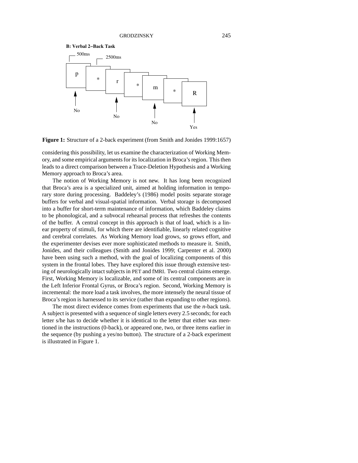

**Figure 1:** Structure of a 2-back experiment (from Smith and Jonides 1999:1657)

considering this possibility, let us examine the characterization of Working Memory, and some empirical arguments for its localization in Broca's region. This then leads to a direct comparison between a Trace-Deletion Hypothesis and a Working Memory approach to Broca's area.

The notion of Working Memory is not new. It has long been recognized that Broca's area is a specialized unit, aimed at holding information in temporary store during processing. Baddeley's (1986) model posits separate storage buffers for verbal and visual-spatial information. Verbal storage is decomposed into a buffer for short-term maintenance of information, which Baddeley claims to be phonological, and a subvocal rehearsal process that refreshes the contents of the buffer. A central concept in this approach is that of load, which is a linear property of stimuli, for which there are identifiable, linearly related cognitive and cerebral correlates. As Working Memory load grows, so grows effort, and the experimenter devises ever more sophisticated methods to measure it. Smith, Jonides, and their colleagues (Smith and Jonides 1999; Carpenter et al. 2000) have been using such a method, with the goal of localizing components of this system in the frontal lobes. They have explored this issue through extensive testing of neurologically intact subjects in PET and fMRI. Two central claims emerge. First, Working Memory is localizable, and some of its central components are in the Left Inferior Frontal Gyrus, or Broca's region. Second, Working Memory is incremental: the more load a task involves, the more intensely the neural tissue of Broca's region is harnessed to its service (rather than expanding to other regions).

The most direct evidence comes from experiments that use the *n*-back task. A subject is presented with a sequence of single letters every 2.5 seconds; for each letter s/he has to decide whether it is identical to the letter that either was mentioned in the instructions (0-back), or appeared one, two, or three items earlier in the sequence (by pushing a yes/no button). The structure of a 2-back experiment is illustrated in Figure 1.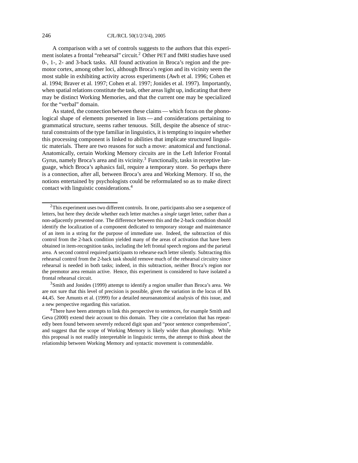A comparison with a set of controls suggests to the authors that this experiment isolates a frontal "rehearsal" circuit.<sup>2</sup> Other PET and fMRI studies have used 0-, 1-, 2- and 3-back tasks. All found activation in Broca's region and the premotor cortex, among other loci, although Broca's region and its vicinity seem the most stable in exhibiting activity across experiments (Awh et al. 1996; Cohen et al. 1994; Braver et al. 1997; Cohen et al. 1997; Jonides et al. 1997). Importantly, when spatial relations constitute the task, other areas light up, indicating that there may be distinct Working Memories, and that the current one may be specialized for the "verbal" domain.

As stated, the connection between these claims — which focus on the phonological shape of elements presented in lists — and considerations pertaining to grammatical structure, seems rather tenuous. Still, despite the absence of structural constraints of the type familiar in linguistics, it is tempting to inquire whether this processing component is linked to abilities that implicate structured linguistic materials. There are two reasons for such a move: anatomical and functional. Anatomically, certain Working Memory circuits are in the Left Inferior Frontal Gyrus, namely Broca's area and its vicinity.<sup>3</sup> Functionally, tasks in receptive language, which Broca's aphasics fail, require a temporary store. So perhaps there is a connection, after all, between Broca's area and Working Memory. If so, the notions entertained by psychologists could be reformulated so as to make direct contact with linguistic considerations.<sup>4</sup>

 $2$ This experiment uses two different controls. In one, participants also see a sequence of letters, but here they decide whether each letter matches a *single* target letter, rather than a non-adjacently presented one. The difference between this and the 2-back condition should identify the localization of a component dedicated to temporary storage and maintenance of an item in a string for the purpose of immediate use. Indeed, the subtraction of this control from the 2-back condition yielded many of the areas of activation that have been obtained in item-recognition tasks, including the left frontal speech regions and the parietal area. A second control required participants to rehearse each letter silently. Subtracting this rehearsal control from the 2-back task should remove much of the rehearsal circuitry since rehearsal is needed in both tasks; indeed, in this subtraction, neither Broca's region nor the premotor area remain active. Hence, this experiment is considered to have isolated a frontal rehearsal circuit.

<sup>3</sup>Smith and Jonides (1999) attempt to identify a region smaller than Broca's area. We are not sure that this level of precision is possible, given the variation in the locus of BA 44,45. See Amunts et al. (1999) for a detailed neuroanatomical analysis of this issue, and a new perspective regarding this variation.

<sup>&</sup>lt;sup>4</sup>There have been attempts to link this perspective to sentences, for example Smith and Geva (2000) extend their account to this domain. They cite a correlation that has repeatedly been found between severely reduced digit span and "poor sentence comprehension", and suggest that the scope of Working Memory is likely wider than phonology. While this proposal is not readily interpretable in linguistic terms, the attempt to think about the relationship between Working Memory and syntactic movement is commendable.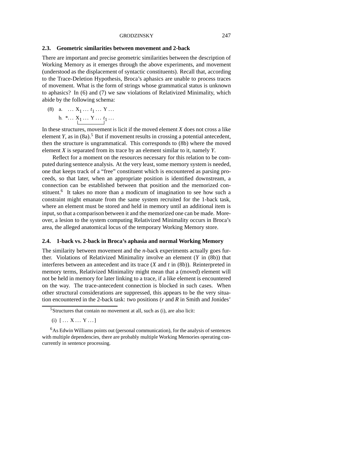# **2.3. Geometric similarities between movement and 2-back**

There are important and precise geometric similarities between the description of Working Memory as it emerges through the above experiments, and movement (understood as the displacement of syntactic constituents). Recall that, according to the Trace-Deletion Hypothesis, Broca's aphasics are unable to process traces of movement. What is the form of strings whose grammatical status is unknown to aphasics? In (6) and (7) we saw violations of Relativized Minimality, which abide by the following schema:

(8) a.  $\ldots$   $X_1 \ldots$   $t_1 \ldots$  Y ... b.  $*...$   $X_1...$   $Y...$   $t_1...$ 

In these structures, movement is licit if the moved element *X* does not cross a like element *Y*, as in  $(8a)$ <sup>5</sup> But if movement results in crossing a potential antecedent, then the structure is ungrammatical. This corresponds to (8b) where the moved element *X* is separated from its trace by an element similar to it, namely *Y*.

Reflect for a moment on the resources necessary for this relation to be computed during sentence analysis. At the very least, some memory system is needed, one that keeps track of a "free" constituent which is encountered as parsing proceeds, so that later, when an appropriate position is identified downstream, a connection can be established between that position and the memorized constituent.<sup>6</sup> It takes no more than a modicum of imagination to see how such a constraint might emanate from the same system recruited for the 1-back task, where an element must be stored and held in memory until an additional item is input, so that a comparison between it and the memorized one can be made. Moreover, a lesion to the system computing Relativized Minimality occurs in Broca's area, the alleged anatomical locus of the temporary Working Memory store.

#### **2.4. 1-back vs. 2-back in Broca's aphasia and normal Working Memory**

The similarity between movement and the *n-*back experiments actually goes further. Violations of Relativized Minimality involve an element (*Y* in (8b)) that interferes between an antecedent and its trace (*X* and *t* in (8b)). Reinterpreted in memory terms, Relativized Minimality might mean that a (moved) element will not be held in memory for later linking to a trace, if a like element is encountered on the way. The trace-antecedent connection is blocked in such cases. When other structural considerations are suppressed, this appears to be the very situation encountered in the 2-back task: two positions (*r* and *R* in Smith and Jonides'

 $5$ Structures that contain no movement at all, such as (i), are also licit:

<sup>(</sup>i)  $[... X ... Y ...]$ 

<sup>&</sup>lt;sup>6</sup>As Edwin Williams points out (personal communication), for the analysis of sentences with multiple dependencies, there are probably multiple Working Memories operating concurrently in sentence processing.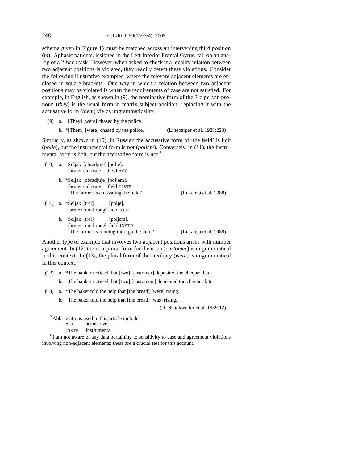schema given in Figure 1) must be matched across an intervening third position (*m*). Aphasic patients, lesioned in the Left Inferior Frontal Gyrus, fail on an analog of a 2-back task. However, when asked to check if a locality relation between two adjacent positions is violated, they readily detect these violations. Consider the following illustrative examples, where the relevant adjacent elements are enclosed in square brackets. One way in which a relation between two adjacent positions may be violated is when the requirements of case are not satisfied. For example, in English, as shown in (9), the nominative form of the 3rd person pronoun (*they*) is the usual form in matrix subject position; replacing it with the accusative form (*them*) yields ungrammaticality.

- (9) a. [They] [were] chased by the police.
	- b. \*[Them] [were] chased by the police. (Linebarger et al. 1983:223)

Similarly, as shown in (10), in Russian the accusative form of 'the field' is licit (*polje*), but the instrumental form is not (*poljem*). Conversely, in (11), the instrumental form is licit, but the accusative form is not.<sup>7</sup>

- (10) a. Seljak [obradjuje] [polje]. farmer cultivate field.ACC
	- b. \*Seljak [obradjuje] [poljem]. farmer cultivate field.INSTR 'The farmer is cultivating the field.' (Lukatela et al. 1988)
- (11) a. \*Seljak [trci] [polje]. farmer run.through field.ACC
	- b. Seljak [trci] [poljem]. farmer run.through field.INSTR 'The farmer is running through the field.' (Lukatela et al. 1988)

Another type of example that involves two adjacent positions arises with number agreement. In (12) the non-plural form for the noun (*customer*) is ungrammatical in this context. In (13), the plural form of the auxiliary (*were*) is ungrammatical in this context.<sup>8</sup>

- (12) a. \*The banker noticed that [two] [customer] deposited the cheques late.
	- b. The banker noticed that [two] [customers] deposited the cheques late.
- (13) a. \*The baker told the help that [the bread] [were] rising.
	- b. The baker told the help that [the bread] [was] rising.

(cf. Shankweiler et al. 1989:12)

 $^7$ Abbreviations used in this article include:<br>ACC accusative

- accusative
- INSTR instrumental

 ${}^{8}I$  am not aware of any data pertaining to sensitivity to case and agreement violations involving non-adjacent elements; these are a crucial test for this account.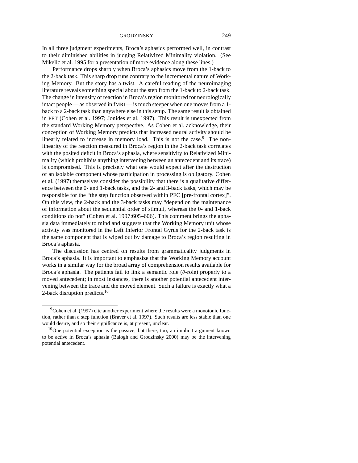In all three judgment experiments, Broca's aphasics performed well, in contrast to their diminished abilities in judging Relativized Minimality violation. (See Mikelic et al. 1995 for a presentation of more evidence along these lines.)

Performance drops sharply when Broca's aphasics move from the 1-back to the 2-back task. This sharp drop runs contrary to the incremental nature of Working Memory. But the story has a twist. A careful reading of the neuroimaging literature reveals something special about the step from the 1-back to 2-back task. The change in intensity of reaction in Broca's region monitored for neurologically intact people — as observed in fMRI — is much steeper when one moves from a 1 back to a 2-back task than anywhere else in this setup. The same result is obtained in PET (Cohen et al. 1997; Jonides et al. 1997). This result is unexpected from the standard Working Memory perspective. As Cohen et al. acknowledge, their conception of Working Memory predicts that increased neural activity should be linearly related to increase in memory load. This is not the case. $9$  The nonlinearity of the reaction measured in Broca's region in the 2-back task correlates with the posited deficit in Broca's aphasia, where sensitivity to Relativized Minimality (which prohibits anything intervening between an antecedent and its trace) is compromised. This is precisely what one would expect after the destruction of an isolable component whose participation in processing is obligatory. Cohen et al. (1997) themselves consider the possibility that there is a qualitative difference between the 0- and 1-back tasks, and the 2- and 3-back tasks, which may be responsible for the "the step function observed within PFC [pre-frontal cortex]". On this view, the 2-back and the 3-back tasks may "depend on the maintenance of information about the sequential order of stimuli, whereas the 0- and 1-back conditions do not" (Cohen et al. 1997:605–606). This comment brings the aphasia data immediately to mind and suggests that the Working Memory unit whose activity was monitored in the Left Inferior Frontal Gyrus for the 2-back task is the same component that is wiped out by damage to Broca's region resulting in Broca's aphasia.

The discussion has centred on results from grammaticality judgments in Broca's aphasia. It is important to emphasize that the Working Memory account works in a similar way for the broad array of comprehension results available for Broca's aphasia. The patients fail to link a semantic role ( $\theta$ -role) properly to a moved antecedent; in most instances, there is another potential antecedent intervening between the trace and the moved element. Such a failure is exactly what a 2-back disruption predicts.<sup>10</sup>

 $^{9}$ Cohen et al. (1997) cite another experiment where the results were a monotonic function, rather than a step function (Braver et al. 1997). Such results are less stable than one would desire, and so their significance is, at present, unclear.

 $10$ One potential exception is the passive; but there, too, an implicit argument known to be active in Broca's aphasia (Balogh and Grodzinsky 2000) may be the intervening potential antecedent.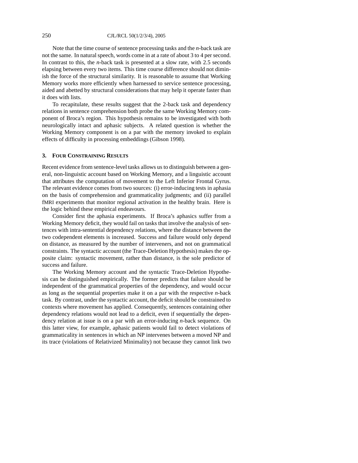Note that the time course of sentence processing tasks and the *n*-back task are not the same. In natural speech, words come in at a rate of about 3 to 4 per second. In contrast to this, the *n*-back task is presented at a slow rate, with 2.5 seconds elapsing between every two items. This time course difference should not diminish the force of the structural similarity. It is reasonable to assume that Working Memory works more efficiently when harnessed to service sentence processing, aided and abetted by structural considerations that may help it operate faster than it does with lists.

To recapitulate, these results suggest that the 2-back task and dependency relations in sentence comprehension both probe the same Working Memory component of Broca's region. This hypothesis remains to be investigated with both neurologically intact and aphasic subjects. A related question is whether the Working Memory component is on a par with the memory invoked to explain effects of difficulty in processing embeddings (Gibson 1998).

#### **3. FOUR CONSTRAINING RESULTS**

Recent evidence from sentence-level tasks allows us to distinguish between a general, non-linguistic account based on Working Memory, and a linguistic account that attributes the computation of movement to the Left Inferior Frontal Gyrus. The relevant evidence comes from two sources: (i) error-inducing tests in aphasia on the basis of comprehension and grammaticality judgments; and (ii) parallel fMRI experiments that monitor regional activation in the healthy brain. Here is the logic behind these empirical endeavours.

Consider first the aphasia experiments. If Broca's aphasics suffer from a Working Memory deficit, they would fail on tasks that involve the analysis of sentences with intra-sentential dependency relations, where the distance between the two codependent elements is increased. Success and failure would only depend on distance, as measured by the number of interveners, and not on grammatical constraints. The syntactic account (the Trace-Deletion Hypothesis) makes the opposite claim: syntactic movement, rather than distance, is the sole predictor of success and failure.

The Working Memory account and the syntactic Trace-Deletion Hypothesis can be distinguished empirically. The former predicts that failure should be independent of the grammatical properties of the dependency, and would occur as long as the sequential properties make it on a par with the respective *n*-back task. By contrast, under the syntactic account, the deficit should be constrained to contexts where movement has applied. Consequently, sentences containing other dependency relations would not lead to a deficit, even if sequentially the dependency relation at issue is on a par with an error-inducing *n*-back sequence. On this latter view, for example, aphasic patients would fail to detect violations of grammaticality in sentences in which an NP intervenes between a moved NP and its trace (violations of Relativized Minimality) not because they cannot link two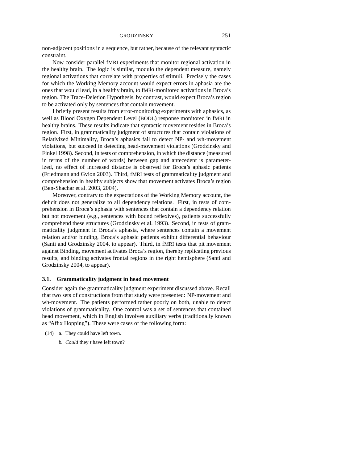non-adjacent positions in a sequence, but rather, because of the relevant syntactic constraint.

Now consider parallel fMRI experiments that monitor regional activation in the healthy brain. The logic is similar, modulo the dependent measure, namely regional activations that correlate with properties of stimuli. Precisely the cases for which the Working Memory account would expect errors in aphasia are the ones that would lead, in a healthy brain, to fMRI-monitored activations in Broca's region. The Trace-Deletion Hypothesis, by contrast, would expect Broca's region to be activated only by sentences that contain movement.

I briefly present results from error-monitoring experiments with aphasics, as well as Blood Oxygen Dependent Level (BODL) response monitored in fMRI in healthy brains. These results indicate that syntactic movement resides in Broca's region. First, in grammaticality judgment of structures that contain violations of Relativized Minimality, Broca's aphasics fail to detect NP- and wh-movement violations, but succeed in detecting head-movement violations (Grodzinsky and Finkel 1998). Second, in tests of comprehension, in which the distance (measured in terms of the number of words) between gap and antecedent is parameterized, no effect of increased distance is observed for Broca's aphasic patients (Friedmann and Gvion 2003). Third, fMRI tests of grammaticality judgment and comprehension in healthy subjects show that movement activates Broca's region (Ben-Shachar et al. 2003, 2004).

Moreover, contrary to the expectations of the Working Memory account, the deficit does not generalize to all dependency relations. First, in tests of comprehension in Broca's aphasia with sentences that contain a dependency relation but not movement (e.g., sentences with bound reflexives), patients successfully comprehend these structures (Grodzinsky et al. 1993). Second, in tests of grammaticality judgment in Broca's aphasia, where sentences contain a movement relation and/or binding, Broca's aphasic patients exhibit differential behaviour (Santi and Grodzinsky 2004, to appear). Third, in fMRI tests that pit movement against Binding, movement activates Broca's region, thereby replicating previous results, and binding activates frontal regions in the right hemisphere (Santi and Grodzinsky 2004, to appear).

#### **3.1. Grammaticality judgment in head movement**

Consider again the grammaticality judgment experiment discussed above. Recall that two sets of constructions from that study were presented: NP-movement and wh-movement. The patients performed rather poorly on both, unable to detect violations of grammaticality. One control was a set of sentences that contained head movement, which in English involves auxiliary verbs (traditionally known as "Affix Hopping"). These were cases of the following form:

- (14) a. They could have left town.
	- b. *Could* they *t* have left town?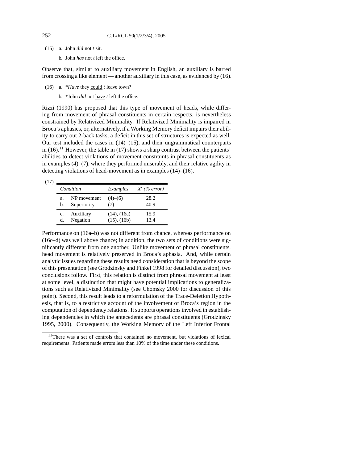- (15) a. John *did* not *t* sit.
	- b. John *has* not *t* left the office.

Observe that, similar to auxiliary movement in English, an auxiliary is barred from crossing a like element — another auxiliary in this case, as evidenced by (16).

- (16) a. \**Have* they could *t* leave town?
	- b. \*John *did* not have *t* left the office.

Rizzi (1990) has proposed that this type of movement of heads, while differing from movement of phrasal constituents in certain respects, is nevertheless constrained by Relativized Minimality. If Relativized Minimality is impaired in Broca's aphasics, or, alternatively, if a Working Memory deficit impairs their ability to carry out 2-back tasks, a deficit in this set of structures is expected as well. Our test included the cases in (14)–(15), and their ungrammatical counterparts in (16).<sup>11</sup> However, the table in (17) shows a sharp contrast between the patients' abilities to detect violations of movement constraints in phrasal constituents as in examples (4)–(7), where they performed miserably, and their relative agility in detecting violations of head-movement as in examples (14)–(16).

| Condition      |             | Examples         | $X'$ (% error) |  |
|----------------|-------------|------------------|----------------|--|
| a.             | NP movement | (4)–(6)          | 28.2           |  |
| b.             | Superiority | (7)              | 40.9           |  |
| $\mathbf{c}$ . | Auxiliary   | $(14)$ , $(16a)$ | 15.9           |  |
| d.             | Negation    | $(15)$ , $(16b)$ | 13.4           |  |

Performance on (16a–b) was not different from chance, whereas performance on (16c–d) was well above chance; in addition, the two sets of conditions were significantly different from one another. Unlike movement of phrasal constituents, head movement is relatively preserved in Broca's aphasia. And, while certain analytic issues regarding these results need consideration that is beyond the scope of this presentation (see Grodzinsky and Finkel 1998 for detailed discussion), two conclusions follow. First, this relation is distinct from phrasal movement at least at some level, a distinction that might have potential implications to generalizations such as Relativized Minimality (see Chomsky 2000 for discussion of this point). Second, this result leads to a reformulation of the Trace-Deletion Hypothesis, that is, to a restrictive account of the involvement of Broca's region in the computation of dependency relations. It supports operations involved in establishing dependencies in which the antecedents are phrasal constituents (Grodzinsky 1995, 2000). Consequently, the Working Memory of the Left Inferior Frontal

<sup>&</sup>lt;sup>11</sup>There was a set of controls that contained no movement, but violations of lexical requirements. Patients made errors less than 10% of the time under these conditions.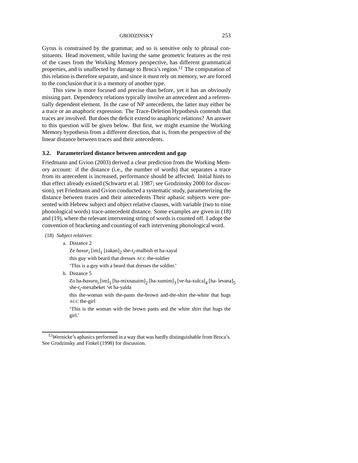Gyrus is constrained by the grammar, and so is sensitive only to phrasal constituents. Head movement, while having the same geometric features as the rest of the cases from the Working Memory perspective, has different grammatical properties, and is unaffected by damage to Broca's region.<sup>12</sup> The computation of this relation is therefore separate, and since it must rely on memory, we are forced to the conclusion that it is a memory of another type.

This view is more focused and precise than before, yet it has an obviously missing part. Dependency relations typically involve an antecedent and a referentially dependent element. In the case of NP antecedents, the latter may either be a trace or an anaphoric expression. The Trace-Deletion Hypothesis contends that traces are involved. But does the deficit extend to anaphoric relations? An answer to this question will be given below. But first, we might examine the Working Memory hypothesis from a different direction, that is, from the perspective of the linear distance between traces and their antecedents.

#### **3.2. Parameterized distance between antecedent and gap**

Friedmann and Gvion (2003) derived a clear prediction from the Working Memory account: if the distance (i.e., the number of words) that separates a trace from its antecedent is increased, performance should be affected. Initial hints to that effect already existed (Schwartz et al. 1987; see Grodzinsky 2000 for discussion), yet Friedmann and Gvion conducted a systematic study, parameterizing the distance between traces and their antecedents Their aphasic subjects were presented with Hebrew subject and object relative clauses, with variable (two to nine phonological words) trace-antecedent distance. Some examples are given in (18) and (19), where the relevant intervening string of words is counted off. I adopt the convention of bracketing and counting of each intervening phonological word.

- (18) *Subject relatives*:
	- a. Distance 2

Ze *baxur<sub>i</sub>* [im]<sub>1</sub> [zakan]<sub>2</sub> she-*t<sub>i</sub>*-malbish et ha-xayal

this guy with beard that dresses ACC the-soldier

'This is a guy with a beard that dresses the soldier.'

b. Distance 5

Zo ha-*baxura<sub>i</sub>* [im]<sub>1</sub> [ha-mixnasaim]<sub>2</sub> [ha-xumim]<sub>3</sub> [ve-ha-xulca]<sub>4</sub> [ha- levana]<sub>5</sub> she-*t i* -mexabeket 'et ha-yalda

this the-woman with the-pants the-brown and-the-shirt the-white that hugs ACC the-girl

'This is the woman with the brown pants and the white shirt that hugs the girl.'

 $12$  Wernicke's aphasics performed in a way that was hardly distinguishable from Broca's. See Grodzinsky and Finkel (1998) for discussion.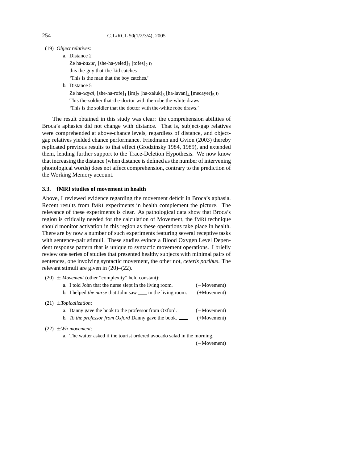(19) *Object relatives*:

a. Distance 2

Ze ha-*baxur<sub>i</sub>* [she-ha-yeled]<sub>1</sub> [tofes]<sub>2</sub> *t<sub>i</sub>* this the-guy that-the-kid catches 'This is the man that the boy catches.'

b. Distance 5

Ze ha-*xayal<sub>i</sub>* [she-ha-rofe]<sub>1</sub> [im]<sub>2</sub> [ha-xaluk]<sub>3</sub> [ha-lavan]<sub>4</sub> [mecayer]<sub>5</sub> *t<sub>i</sub>* This the-soldier that-the-doctor with the-robe the-white draws 'This is the soldier that the doctor with the-white robe draws.'

The result obtained in this study was clear: the comprehension abilities of Broca's aphasics did not change with distance. That is, subject-gap relatives were comprehended at above-chance levels, regardless of distance, and objectgap relatives yielded chance performance. Friedmann and Gvion (2003) thereby replicated previous results to that effect (Grodzinsky 1984, 1989), and extended them, lending further support to the Trace-Deletion Hypothesis. We now know that increasing the distance (when distance is defined as the number of intervening phonological words) does not affect comprehension, contrary to the prediction of the Working Memory account.

# **3.3. fMRI studies of movement in health**

Above, I reviewed evidence regarding the movement deficit in Broca's aphasia. Recent results from fMRI experiments in health complement the picture. The relevance of these experiments is clear. As pathological data show that Broca's region is critically needed for the calculation of Movement, the fMRI technique should monitor activation in this region as these operations take place in health. There are by now a number of such experiments featuring several receptive tasks with sentence-pair stimuli. These studies evince a Blood Oxygen Level Dependent response pattern that is unique to syntactic movement operations. I briefly review one series of studies that presented healthy subjects with minimal pairs of sentences, one involving syntactic movement, the other not, *ceteris paribus*. The relevant stimuli are given in (20)–(22).

- $(20)$   $\pm$  *Movement* (other "complexity" held constant): a. I told John that the nurse slept in the living room. (−Movement) b. I helped *the nurse* that John saw <u>in</u> the living room. (+Movement) (21) ±*Topicalization*: a. Danny gave the book to the professor from Oxford. (−Movement) b. *To the professor from Oxford* Danny gave the book. \_\_\_\_\_\_\_ (+Movement)
- (22) ±*Wh-movement*:
	- a. The waiter asked if the tourist ordered avocado salad in the morning.

(−Movement)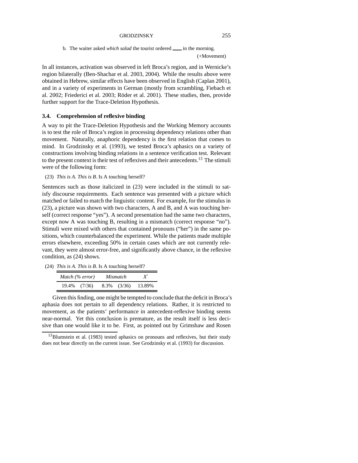```
b. The waiter asked which salad the tourist ordered <u>in</u> the morning.
                                                   (+Movement)
```
In all instances, activation was observed in left Broca's region, and in Wernicke's region bilaterally (Ben-Shachar et al. 2003, 2004). While the results above were obtained in Hebrew, similar effects have been observed in English (Caplan 2001), and in a variety of experiments in German (mostly from scrambling, Fiebach et al. 2002; Friederici et al. 2003; Röder et al. 2001). These studies, then, provide further support for the Trace-Deletion Hypothesis.

#### **3.4. Comprehension of reflexive binding**

A way to pit the Trace-Deletion Hypothesis and the Working Memory accounts is to test the role of Broca's region in processing dependency relations other than movement. Naturally, anaphoric dependency is the first relation that comes to mind. In Grodzinsky et al. (1993), we tested Broca's aphasics on a variety of constructions involving binding relations in a sentence verification test. Relevant to the present context is their test of reflexives and their antecedents.<sup>13</sup> The stimuli were of the following form:

(23) *This is A. This is B*. Is A touching herself?

Sentences such as those italicized in (23) were included in the stimuli to satisfy discourse requirements. Each sentence was presented with a picture which matched or failed to match the linguistic content. For example, for the stimulus in (23), a picture was shown with two characters, A and B, and A was touching herself (correct response "yes"). A second presentation had the same two characters, except now A was touching B, resulting in a mismatch (correct response "no"). Stimuli were mixed with others that contained pronouns ("her") in the same positions, which counterbalanced the experiment. While the patients made multiple errors elsewhere, exceeding 50% in certain cases which are not currently relevant, they were almost error-free, and significantly above chance, in the reflexive condition, as (24) shows.

(24) *This is A. This is B*. Is A touching herself?

| Match $(\%$ error) |                 | <i>Mismatch</i>  |        |  |
|--------------------|-----------------|------------------|--------|--|
|                    | $19.4\%$ (7/36) | $8.3\%$ $(3/36)$ | 13.89% |  |

Given this finding, one might be tempted to conclude that the deficit in Broca's aphasia does not pertain to all dependency relations. Rather, it is restricted to movement, as the patients' performance in antecedent-reflexive binding seems near-normal. Yet this conclusion is premature, as the result itself is less decisive than one would like it to be. First, as pointed out by Grimshaw and Rosen

<sup>&</sup>lt;sup>13</sup>Blumstein et al. (1983) tested aphasics on pronouns and reflexives, but their study does not bear directly on the current issue. See Grodzinsky et al. (1993) for discussion.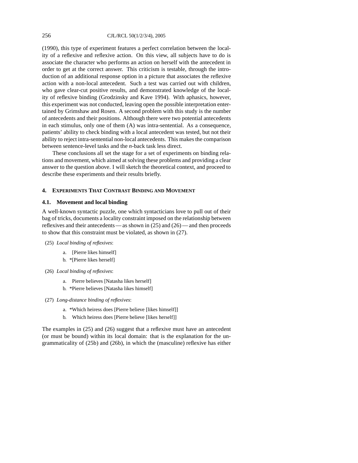(1990), this type of experiment features a perfect correlation between the locality of a reflexive and reflexive action. On this view, all subjects have to do is associate the character who performs an action on herself with the antecedent in order to get at the correct answer. This criticism is testable, through the introduction of an additional response option in a picture that associates the reflexive action with a non-local antecedent. Such a test was carried out with children, who gave clear-cut positive results, and demonstrated knowledge of the locality of reflexive binding (Grodzinsky and Kave 1994). With aphasics, however, this experiment was not conducted, leaving open the possible interpretation entertained by Grimshaw and Rosen. A second problem with this study is the number of antecedents and their positions. Although there were two potential antecedents in each stimulus, only one of them (A) was intra-sentential. As a consequence, patients' ability to check binding with a local antecedent was tested, but not their ability to reject intra-sentential non-local antecedents. This makes the comparison between sentence-level tasks and the *n*-back task less direct.

These conclusions all set the stage for a set of experiments on binding relations and movement, which aimed at solving these problems and providing a clear answer to the question above. I will sketch the theoretical context, and proceed to describe these experiments and their results briefly.

# **4. EXPERIMENTS THAT CONTRAST BINDING AND MOVEMENT**

#### **4.1. Movement and local binding**

A well-known syntactic puzzle, one which syntacticians love to pull out of their bag of tricks, documents a locality constraint imposed on the relationship between reflexives and their antecedents — as shown in (25) and (26) — and then proceeds to show that this constraint must be violated, as shown in (27).

- (25) *Local binding of reflexives*:
	- a. [Pierre likes himself]
	- b. \*[Pierre likes herself]
- (26) *Local binding of reflexives*:
	- a. Pierre believes [Natasha likes herself]
	- b. \*Pierre believes [Natasha likes himself]
- (27) *Long-distance binding of reflexives*:
	- a. \*Which heiress does [Pierre believe [likes himself]]
	- b. Which heiress does [Pierre believe [likes herself]]

The examples in (25) and (26) suggest that a reflexive must have an antecedent (or must be bound) within its local domain: that is the explanation for the ungrammaticality of (25b) and (26b), in which the (masculine) reflexive has either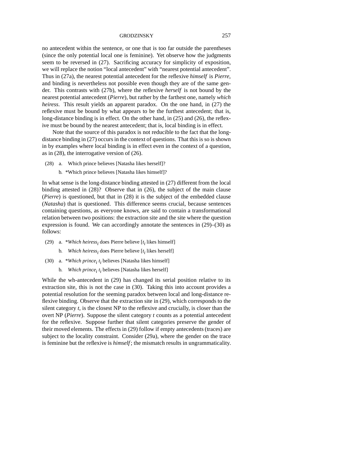no antecedent within the sentence, or one that is too far outside the parentheses (since the only potential local one is feminine). Yet observe how the judgments seem to be reversed in (27). Sacrificing accuracy for simplicity of exposition, we will replace the notion "local antecedent" with "nearest potential antecedent". Thus in (27a), the nearest potential antecedent for the reflexive *himself* is *Pierre*, and binding is nevertheless not possible even though they are of the same gender. This contrasts with (27b), where the reflexive *herself* is not bound by the nearest potential antecedent (*Pierre*), but rather by the farthest one, namely *which heiress*. This result yields an apparent paradox. On the one hand, in (27) the reflexive must be bound by what appears to be the furthest antecedent; that is, long-distance binding is in effect. On the other hand, in (25) and (26), the reflexive must be bound by the nearest antecedent; that is, local binding is in effect.

Note that the source of this paradox is not reducible to the fact that the longdistance binding in (27) occurs in the context of questions. That this is so is shown in by examples where local binding is in effect even in the context of a question, as in (28), the interrogative version of (26).

- (28) a. Which prince believes [Natasha likes herself]?
	- b. \*Which prince believes [Natasha likes himself]?

In what sense is the long-distance binding attested in (27) different from the local binding attested in (28)? Observe that in (26), the subject of the main clause (*Pierre*) is questioned, but that in (28) it is the subject of the embedded clause (*Natasha*) that is questioned. This difference seems crucial, because sentences containing questions, as everyone knows, are said to contain a transformational relation between two positions: the extraction site and the site where the question expression is found. We can accordingly annotate the sentences in (29)–(30) as follows:

- (29) a. \**Which heiress<sup>i</sup>* does Pierre believe [*t i* likes himself]
	- b. *Which heiress<sup>i</sup>* does Pierre believe [*t i* likes herself]
- (30) a. \**Which prince<sup>i</sup> t i* believes [Natasha likes himself]
	- b. *Which prince<sub>i</sub>* t<sub>i</sub> believes [Natasha likes herself]

While the wh-antecedent in (29) has changed its serial position relative to its extraction site, this is not the case in (30). Taking this into account provides a potential resolution for the seeming paradox between local and long-distance reflexive binding. Observe that the extraction site in (29), which corresponds to the silent category *t*, is the closest NP to the reflexive and crucially, is closer than the overt NP (*Pierre*). Suppose the silent category *t* counts as a potential antecedent for the reflexive. Suppose further that silent categories preserve the gender of their moved elements. The effects in (29) follow if empty antecedents (traces) are subject to the locality constraint. Consider (29a), where the gender on the trace is feminine but the reflexive is *himself* ; the mismatch results in ungrammaticality.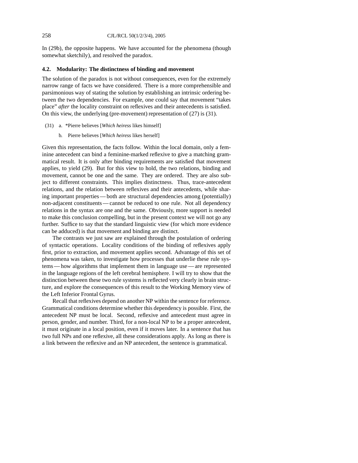In (29b), the opposite happens. We have accounted for the phenomena (though somewhat sketchily), and resolved the paradox.

#### **4.2. Modularity: The distinctness of binding and movement**

The solution of the paradox is not without consequences, even for the extremely narrow range of facts we have considered. There is a more comprehensible and parsimonious way of stating the solution by establishing an intrinsic ordering between the two dependencies. For example, one could say that movement "takes place" *after* the locality constraint on reflexives and their antecedents is satisfied. On this view, the underlying (pre-movement) representation of (27) is (31).

- (31) a. \*Pierre believes [*Which heiress* likes himself]
	- b. Pierre believes [*Which heiress* likes herself]

Given this representation, the facts follow. Within the local domain, only a feminine antecedent can bind a feminine-marked reflexive to give a matching grammatical result. It is only after binding requirements are satisfied that movement applies, to yield (29). But for this view to hold, the two relations, binding and movement, cannot be one and the same. They are ordered. They are also subject to different constraints. This implies distinctness. Thus, trace-antecedent relations, and the relation between reflexives and their antecedents, while sharing important properties — both are structural dependencies among (potentially) non-adjacent constituents — cannot be reduced to one rule. Not all dependency relations in the syntax are one and the same. Obviously, more support is needed to make this conclusion compelling, but in the present context we will not go any further. Suffice to say that the standard linguistic view (for which more evidence can be adduced) is that movement and binding are distinct.

The contrasts we just saw are explained through the postulation of ordering of syntactic operations. Locality conditions of the binding of reflexives apply first, prior to extraction, and movement applies second. Advantage of this set of phenomena was taken, to investigate how processes that underlie these rule systems — how algorithms that implement them in language use — are represented in the language regions of the left cerebral hemisphere. I will try to show that the distinction between these two rule systems is reflected very clearly in brain structure, and explore the consequences of this result to the Working Memory view of the Left Inferior Frontal Gyrus.

Recall that reflexives depend on another NP within the sentence for reference. Grammatical conditions determine whether this dependency is possible. First, the antecedent NP must be local. Second, reflexive and antecedent must agree in person, gender, and number. Third, for a non-local NP to be a proper antecedent, it must originate in a local position, even if it moves later. In a sentence that has two full NPs and one reflexive, all these considerations apply. As long as there is a link between the reflexive and an NP antecedent, the sentence is grammatical.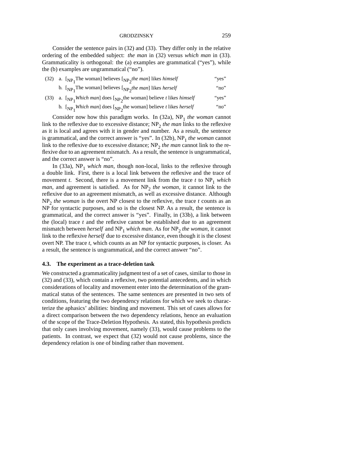Consider the sentence pairs in (32) and (33). They differ only in the relative ordering of the embedded subject: *the man* in (32) versus *which man* in (33). Grammaticality is orthogonal: the (a) examples are grammatical ("yes"), while the (b) examples are ungrammatical ("no").

| (32) a. $\left[\text{NP}_{1}\right]$ The woman] believes $\left[\text{NP}_{2}\right]$ the man] likes himself  | "ves"    |
|---------------------------------------------------------------------------------------------------------------|----------|
| b. $[N_{\rm Pl}]$ The woman] believes $[N_{\rm Pl}]$ the man] likes herself                                   | " $no$ " |
| (33) a. $\left[\text{NP}_{1}$ Which man] does $\left[\text{NP}_{2}\right]$ the woman] believe t likes himself | "yes"    |
| b. $[N_{\rm Pl}$ Which man] does $[N_{\rm Pl}$ the woman] believe t likes herself                             | " $no$ " |

Consider now how this paradigm works. In (32a), NP<sub>1</sub> the woman cannot link to the reflexive due to excessive distance;  $NP_2$  *the man* links to the reflexive as it is local and agrees with it in gender and number. As a result, the sentence is grammatical, and the correct answer is "yes". In (32b), NP<sub>1</sub> the woman cannot link to the reflexive due to excessive distance;  $NP_2$  *the man* cannot link to the reflexive due to an agreement mismatch. As a result, the sentence is ungrammatical, and the correct answer is "no".

In (33a),  $NP_1$  *which man*, though non-local, links to the reflexive through a double link. First, there is a local link between the reflexive and the trace of movement *t*. Second, there is a movement link from the trace *t* to  $NP_1$  *which man*, and agreement is satisfied. As for NP<sub>2</sub> the woman, it cannot link to the reflexive due to an agreement mismatch, as well as excessive distance. Although  $NP_2$  *the woman* is the overt NP closest to the reflexive, the trace *t* counts as an NP for syntactic purposes, and so is the closest NP. As a result, the sentence is grammatical, and the correct answer is "yes". Finally, in (33b), a link between the (local) trace *t* and the reflexive cannot be established due to an agreement mismatch between *herself* and NP<sub>1</sub> *which man*. As for NP<sub>2</sub> the *woman*, it cannot link to the reflexive *herself* due to excessive distance, even though it is the closest overt NP. The trace *t*, which counts as an NP for syntactic purposes, is closer. As a result, the sentence is ungrammatical, and the correct answer "no".

#### **4.3. The experiment as a trace-deletion task**

We constructed a grammaticality judgment test of a set of cases, similar to those in (32) and (33), which contain a reflexive, two potential antecedents, and in which considerations of locality and movement enter into the determination of the grammatical status of the sentences. The same sentences are presented in two sets of conditions, featuring the two dependency relations for which we seek to characterize the aphasics' abilities: binding and movement. This set of cases allows for a direct comparison between the two dependency relations, hence an evaluation of the scope of the Trace-Deletion Hypothesis. As stated, this hypothesis predicts that only cases involving movement, namely (33), would cause problems to the patients. In contrast, we expect that (32) would not cause problems, since the dependency relation is one of binding rather than movement.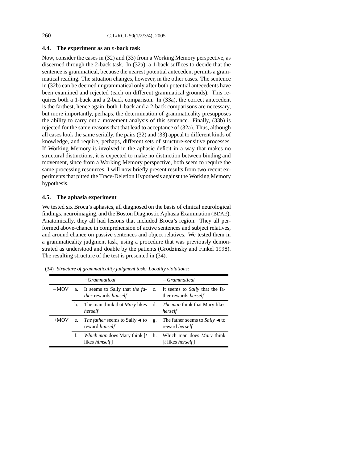#### **4.4. The experiment as an** *n***-back task**

Now, consider the cases in (32) and (33) from a Working Memory perspective, as discerned through the 2-back task. In (32a), a 1-back suffices to decide that the sentence is grammatical, because the nearest potential antecedent permits a grammatical reading. The situation changes, however, in the other cases. The sentence in (32b) can be deemed ungrammatical only after both potential antecedents have been examined and rejected (each on different grammatical grounds). This requires both a 1-back and a 2-back comparison. In (33a), the correct antecedent is the farthest, hence again, both 1-back and a 2-back comparisons are necessary, but more importantly, perhaps, the determination of grammaticality presupposes the ability to carry out a movement analysis of this sentence. Finally, (33b) is rejected for the same reasons that that lead to acceptance of (32a). Thus, although all cases look the same serially, the pairs (32) and (33) appeal to different kinds of knowledge, and require, perhaps, different sets of structure-sensitive processes. If Working Memory is involved in the aphasic deficit in a way that makes no structural distinctions, it is expected to make no distinction between binding and movement, since from a Working Memory perspective, both seem to require the same processing resources. I will now briefly present results from two recent experiments that pitted the Trace-Deletion Hypothesis against the Working Memory hypothesis.

# **4.5. The aphasia experiment**

We tested six Broca's aphasics, all diagnosed on the basis of clinical neurological findings, neuroimaging, and the Boston Diagnostic Aphasia Examination (BDAE). Anatomically, they all had lesions that included Broca's region. They all performed above-chance in comprehension of active sentences and subject relatives, and around chance on passive sentences and object relatives. We tested them in a grammaticality judgment task, using a procedure that was previously demonstrated as understood and doable by the patients (Grodzinsky and Finkel 1998). The resulting structure of the test is presented in (34).

|        |    | $+Grammatical$                                                                          |    | $-Grammatical$                                                          |
|--------|----|-----------------------------------------------------------------------------------------|----|-------------------------------------------------------------------------|
| $-MOV$ | a. | It seems to Sally that <i>the fa-</i><br><i>ther</i> rewards <i>himself</i>             |    | c. It seems to <i>Sally</i> that the fa-<br>ther rewards <i>herself</i> |
|        | b. | The man think that <i>Mary</i> likes d. <i>The man</i> think that Mary likes<br>herself |    | herself                                                                 |
| $+MOV$ | e. | The father seems to Sally $\triangleleft$ to<br>reward himself                          | g. | The father seems to Sally $\triangleleft$ to<br>reward <i>herself</i>   |
|        | f. | Which man does Mary think $[t]$<br>likes <i>himself</i> ]                               |    | h. Which man does <i>Mary</i> think<br>$[t]$ likes herself $\]$         |

(34) *Structure of grammaticality judgment task: Locality violations*: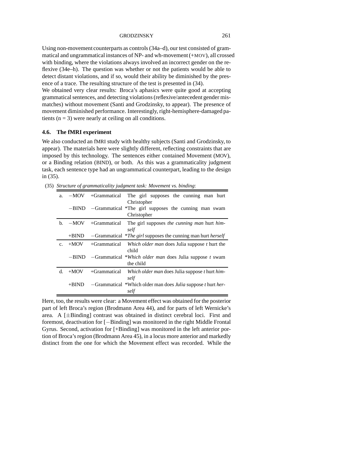Using non-movement counterparts as controls (34a–d), our test consisted of grammatical and ungrammatical instances of NP- and wh-movement(+MOV), all crossed with binding, where the violations always involved an incorrect gender on the reflexive (34e–h). The question was whether or not the patients would be able to detect distant violations, and if so, would their ability be diminished by the presence of a trace. The resulting structure of the test is presented in (34).

We obtained very clear results: Broca's aphasics were quite good at accepting grammatical sentences, and detecting violations (reflexive/antecedent gender mismatches) without movement (Santi and Grodzinsky, to appear). The presence of movement diminished performance. Interestingly, right-hemisphere-damaged patients  $(n = 3)$  were nearly at ceiling on all conditions.

# **4.6. The fMRI experiment**

We also conducted an fMRI study with healthy subjects (Santi and Grodzinsky, to appear). The materials here were slightly different, reflecting constraints that are imposed by this technology. The sentences either contained Movement (MOV), or a Binding relation (BIND), or both. As this was a grammaticality judgment task, each sentence type had an ungrammatical counterpart, leading to the design in (35).

| a. | $-MOV$    |              | +Grammatical The girl supposes the cunning man hurt<br>Christopher                                 |
|----|-----------|--------------|----------------------------------------------------------------------------------------------------|
|    |           |              | -BIND -Grammatical *The girl supposes the cunning man swam<br>Christopher                          |
| b. | $-MOV$    |              | +Grammatical The girl supposes the cunning man hurt him-<br>self                                   |
|    | $+$ BIND  |              | -Grammatical *The girl supposes the cunning man hurt herself                                       |
|    | c. $+MOV$ |              | $+$ Grammatical Which older man does Julia suppose t hurt the<br>child                             |
|    |           |              | $-BIND$ -Grammatical *Which older man does Julia suppose t swam<br>the child                       |
| d. | $+MOV$    | +Grammatical | Which older man does Julia suppose t hurt him-                                                     |
|    | $+$ BIND  |              | self<br>-Grammatical *Which older man does <i>Julia</i> suppose <i>t</i> hurt <i>her</i> -<br>self |

(35) *Structure of grammaticality judgment task: Movement vs. binding*:

Here, too, the results were clear: a Movement effect was obtained for the posterior part of left Broca's region (Brodmann Area 44), and for parts of left Wernicke's area. A  $[\pm \text{ Binding}]$  contrast was obtained in distinct cerebral loci. First and foremost, deactivation for [−Binding] was monitored in the right Middle Frontal Gyrus. Second, activation for [+Binding] was monitored in the left anterior portion of Broca's region (Brodmann Area 45), in a locus more anterior and markedly distinct from the one for which the Movement effect was recorded. While the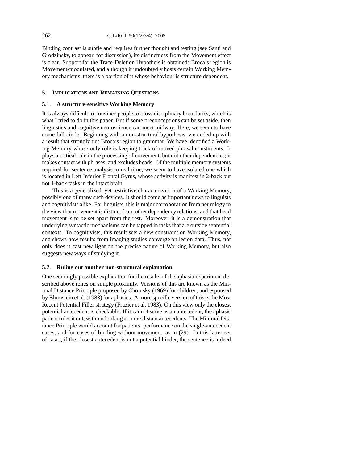Binding contrast is subtle and requires further thought and testing (see Santi and Grodzinsky, to appear, for discussion), its distinctness from the Movement effect is clear. Support for the Trace-Deletion Hypotheis is obtained: Broca's region is Movement-modulated, and although it undoubtedly hosts certain Working Memory mechanisms, there is a portion of it whose behaviour is structure dependent.

# **5. IMPLICATIONS AND REMAINING QUESTIONS**

#### **5.1. A structure-sensitive Working Memory**

It is always difficult to convince people to cross disciplinary boundaries, which is what I tried to do in this paper. But if some preconceptions can be set aside, then linguistics and cognitive neuroscience can meet midway. Here, we seem to have come full circle. Beginning with a non-structural hypothesis, we ended up with a result that strongly ties Broca's region to grammar. We have identified a Working Memory whose only role is keeping track of moved phrasal constituents. It plays a critical role in the processing of movement, but not other dependencies; it makes contact with phrases, and excludes heads. Of the multiple memory systems required for sentence analysis in real time, we seem to have isolated one which is located in Left Inferior Frontal Gyrus, whose activity is manifest in 2-back but not 1-back tasks in the intact brain.

This is a generalized, yet restrictive characterization of a Working Memory, possibly one of many such devices. It should come as important news to linguists and cognitivists alike. For linguists, this is major corroboration from neurology to the view that movement is distinct from other dependency relations, and that head movement is to be set apart from the rest. Moreover, it is a demonstration that underlying syntactic mechanisms can be tapped in tasks that are outside sentential contexts. To cognitivists, this result sets a new constraint on Working Memory, and shows how results from imaging studies converge on lesion data. Thus, not only does it cast new light on the precise nature of Working Memory, but also suggests new ways of studying it.

# **5.2. Ruling out another non-structural explanation**

One seemingly possible explanation for the results of the aphasia experiment described above relies on simple proximity. Versions of this are known as the Minimal Distance Principle proposed by Chomsky (1969) for children, and espoused by Blumstein et al. (1983) for aphasics. A more specific version of this is the Most Recent Potential Filler strategy (Frazier et al. 1983). On this view only the closest potential antecedent is checkable. If it cannot serve as an antecedent, the aphasic patient rules it out, without looking at more distant antecedents. The Minimal Distance Principle would account for patients' performance on the single-antecedent cases, and for cases of binding without movement, as in (29). In this latter set of cases, if the closest antecedent is not a potential binder, the sentence is indeed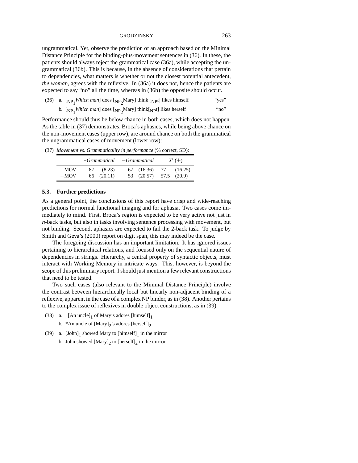ungrammatical. Yet, observe the prediction of an approach based on the Minimal Distance Principle for the binding-plus-movement sentences in (36). In these, the patients should always reject the grammatical case (36a), while accepting the ungrammatical (36b). This is because, in the absence of considerations that pertain to dependencies, what matters is whether or not the closest potential antecedent, *the woman*, agrees with the reflexive. In (36a) it does not, hence the patients are expected to say "no" all the time, whereas in (36b) the opposite should occur.

(36) a.  $\left[\text{NP}_1\text{Which man}\right]$  does  $\left[\text{NP}_2\text{Mary}\right]$  think  $\left[\text{NP}_1\right]$  likes himself "yes" b.  $\left[\text{NP}_1\text{Which man}\right]$  does  $\left[\text{NP}_2\text{Mary}\right]$  think $\left[\text{NP}_1\text{ likes herself}\right]$  "no"

Performance should thus be below chance in both cases, which does not happen. As the table in (37) demonstrates, Broca's aphasics, while being above chance on the non-movement cases (upper row), are around chance on both the grammatical the ungrammatical cases of movement (lower row):

(37) *Movement vs. Grammaticality in performance* (% correct, SD):

|                   |    |                      | $+Grammatical$ $-Grammatical$ |                                                         | $X'(\pm)$ |  |
|-------------------|----|----------------------|-------------------------------|---------------------------------------------------------|-----------|--|
| $-MOV$<br>$+$ MOV | 87 | (8.23)<br>66 (20.11) |                               | $67$ $(16.36)$ $77$ $(16.25)$<br>53 (20.57) 57.5 (20.9) |           |  |

#### **5.3. Further predictions**

As a general point, the conclusions of this report have crisp and wide-reaching predictions for normal functional imaging and for aphasia. Two cases come immediately to mind. First, Broca's region is expected to be very active not just in *n*-back tasks, but also in tasks involving sentence processing with movement, but not binding. Second, aphasics are expected to fail the 2-back task. To judge by Smith and Geva's (2000) report on digit span, this may indeed be the case.

The foregoing discussion has an important limitation. It has ignored issues pertaining to hierarchical relations, and focused only on the sequential nature of dependencies in strings. Hierarchy, a central property of syntactic objects, must interact with Working Memory in intricate ways. This, however, is beyond the scope of this preliminary report. I should just mention a few relevant constructions that need to be tested.

Two such cases (also relevant to the Minimal Distance Principle) involve the contrast between hierarchically local but linearly non-adjacent binding of a reflexive, apparent in the case of a complex NP binder, as in (38). Another pertains to the complex issue of reflexives in double object constructions, as in (39).

- (38) a.  $[An \text{uncle}]_1$  of Mary's adores  $[\text{himself}]_1$ 
	- b.  $*$ An uncle of  $[Mary]_2$ 's adores  $[herself]_2$
- (39) a. [John]<sub>1</sub> showed Mary to [himself]<sub>1</sub> in the mirror
	- b. John showed  $[Mary]_2$  to [herself]<sub>2</sub> in the mirror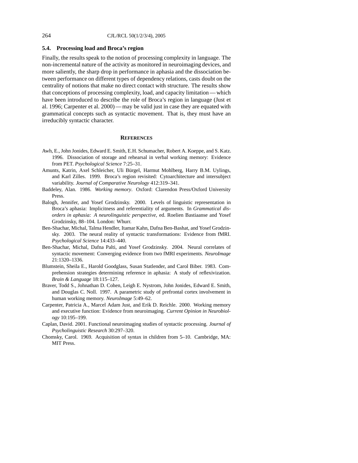#### **5.4. Processing load and Broca's region**

Finally, the results speak to the notion of processing complexity in language. The non-incremental nature of the activity as monitored in neuroimaging devices, and more saliently, the sharp drop in performance in aphasia and the dissociation between performance on different types of dependency relations, casts doubt on the centrality of notions that make no direct contact with structure. The results show that conceptions of processing complexity, load, and capacity limitation — which have been introduced to describe the role of Broca's region in language (Just et al. 1996; Carpenter et al. 2000) — may be valid just in case they are equated with grammatical concepts such as syntactic movement. That is, they must have an irreducibly syntactic character.

#### **REFERENCES**

- Awh, E., John Jonides, Edward E. Smith, E.H. Schumacher, Robert A. Koeppe, and S. Katz. 1996. Dissociation of storage and rehearsal in verbal working memory: Evidence from PET. *Psychological Science* 7:25–31.
- Amunts, Katrin, Axel Schleicher, Uli Bürgel, Harmut Mohlberg, Harry B.M. Uylings, and Karl Zilles. 1999. Broca's region revisited: Cytoarchitecture and intersubject variability. *Journal of Comparative Neurology* 412:319–341.
- Baddeley, Alan. 1986. *Working memory*. Oxford: Clarendon Press/Oxford University Press.
- Balogh, Jennifer, and Yosef Grodzinsky. 2000. Levels of linguistic representation in Broca's aphasia: Implicitness and referentiality of arguments. In *Grammatical disorders in aphasia: A neurolinguistic perspective*, ed. Roelien Bastiaanse and Yosef Grodzinsky, 88–104. London: Whurr.
- Ben-Shachar, Michal, Talma Hendler, Itamar Kahn, Dafna Ben-Bashat, and Yosef Grodzinsky. 2003. The neural reality of syntactic transformations: Evidence from fMRI. *Psychological Science* 14:433–440.
- Ben-Shachar, Michal, Dafna Palti, and Yosef Grodzinsky. 2004. Neural correlates of syntactic movement: Converging evidence from two fMRI experiments. *NeuroImage* 21:1320–1336.
- Blumstein, Sheila E., Harold Goodglass, Susan Statlender, and Carol Biber. 1983. Comprehension strategies determining reference in aphasia: A study of reflexivization. *Brain & Language* 18:115–127.
- Braver, Todd S., Johnathan D. Cohen, Leigh E. Nystrom, John Jonides, Edward E. Smith, and Douglas C. Noll. 1997. A parametric study of prefrontal cortex involvement in human working memory. *NeuroImage* 5:49–62.
- Carpenter, Patricia A., Marcel Adam Just, and Erik D. Reichle. 2000. Working memory and executive function: Evidence from neuroimaging. *Current Opinion in Neurobiology* 10:195–199.
- Caplan, David. 2001. Functional neuroimaging studies of syntactic processing. *Journal of Psycholinguistic Research* 30:297–320.
- Chomsky, Carol. 1969. Acquisition of syntax in children from 5–10. Cambridge, MA: MIT Press.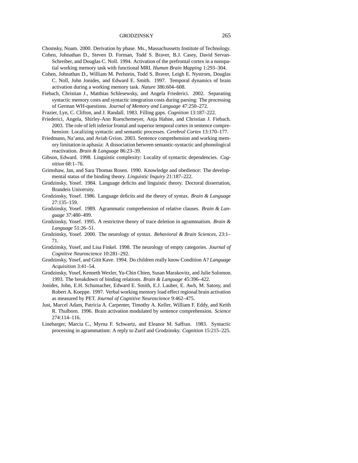Chomsky, Noam. 2000. Derivation by phase. Ms., Massachussetts Institute of Technology.

- Cohen, Johnathan D., Steven D. Forman, Todd S. Braver, B.J. Casey, David Servan-Schreiber, and Douglas C. Noll. 1994. Activation of the prefrontal cortex in a nonspatial working memory task with functional MRI. *Human Brain Mapping* 1:293–304.
- Cohen, Johnathan D., William M. Perlstein, Todd S. Braver, Leigh E. Nystrom, Douglas C. Noll, John Jonides, and Edward E. Smith. 1997. Temporal dynamics of brain activation during a working memory task. *Nature* 386:604–608.
- Fiebach, Christian J., Matthias Schlesewsky, and Angela Friederici. 2002. Separating syntactic memory costs and syntactic integration costs during parsing: The processing of German WH-questions. *Journal of Memory and Language* 47:250–272.
- Frazier, Lyn, C. Clifton, and J. Randall. 1983. Filling gaps. *Cognition* 13:187–222.
- Friederici, Angela, Shirley-Ann Rueschemeyer, Anja Hahne, and Christian J. Fiebach. 2003. The role of left inferior frontal and superior temporal cortex in sentence comprehension: Localizing syntactic and semantic processes. *Cerebral Cortex* 13:170–177.
- Friedmann, Na'ama, and Aviah Gvion. 2003. Sentence comprehension and working memory limitation in aphasia: A dissociation between semantic-syntactic and phonological reactivation. *Brain & Language* 86:23–39.
- Gibson, Edward. 1998. Linguistic complexity: Locality of syntactic dependencies. *Cognition* 68:1–76.
- Grimshaw, Jan, and Sara Thomas Rosen. 1990. Knowledge and obedience: The developmental status of the binding theory. *Linguistic Inquiry* 21:187–222.
- Grodzinsky, Yosef. 1984. Language deficits and linguistic theory. Doctoral dissertation, Brandeis University.
- Grodzinsky, Yosef. 1986. Language deficits and the theory of syntax. *Brain & Language* 27:135–159.
- Grodzinsky, Yosef. 1989. Agrammatic comprehension of relative clauses. *Brain & Language* 37:480–499.
- Grodzinsky, Yosef. 1995. A restrictive theory of trace deletion in agrammatism. *Brain & Language* 51:26–51.
- Grodzinsky, Yosef. 2000. The neurology of syntax. *Behavioral & Brain Sciences*, 23:1– 71.
- Grodzinsky, Yosef, and Lisa Finkel. 1998. The neurology of empty categories. *Journal of Cognitive Neuroscience* 10:281–292.
- Grodzinsky, Yosef, and Gitit Kave. 1994. Do children really know Condition A? *Language Acquisition* 3:41–54.
- Grodzinsky, Yosef, Kenneth Wexler, Yu-Chin Chien, Susan Marakovitz, and Julie Solomon. 1993. The breakdown of binding relations. *Brain & Language* 45:396–422.
- Jonides, John, E.H. Schumacher, Edward E. Smith, E.J. Lauber, E. Awh, M. Satosy, and Robert A. Koeppe. 1997. Verbal working memory load effect regional brain activation as measured by PET. *Journal of Cognitive Neuroscience* 9:462–475.
- Just, Marcel Adam, Patricia A. Carpenter, Timothy A. Keller, William F. Eddy, and Keith R. Thulborn. 1996. Brain activation modulated by sentence comprehension. *Science* 274:114–116.
- Linebarger, Marcia C., Myrna F. Schwartz, and Eleanor M. Saffran. 1983. Syntactic processing in agrammatism: A reply to Zurif and Grodzinsky. *Cognition* 15:215–225.